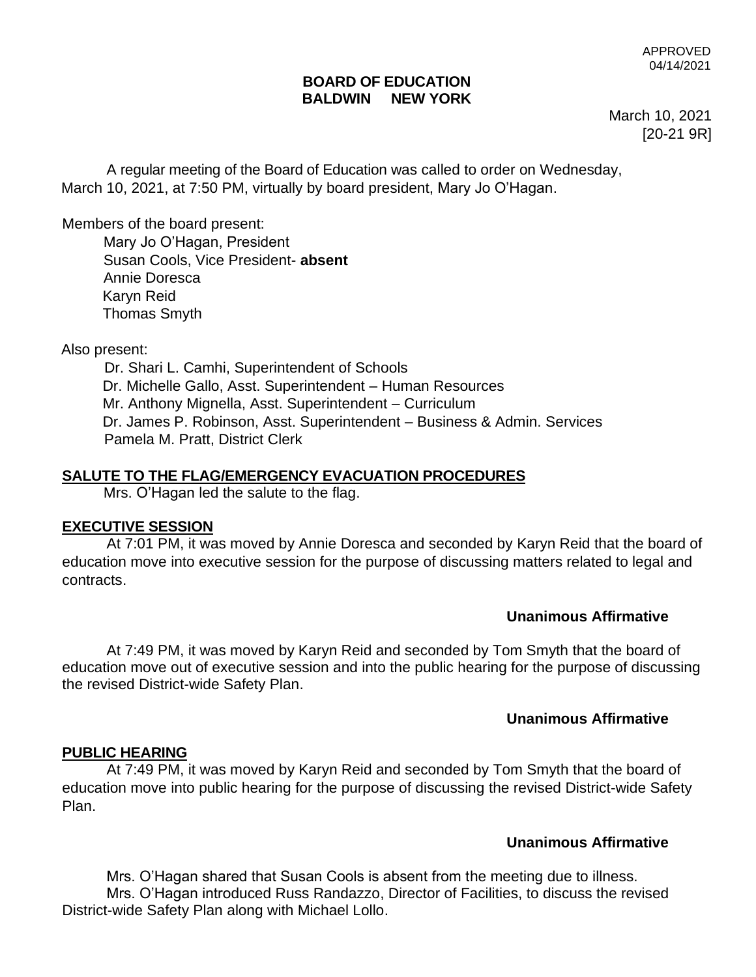#### **BOARD OF EDUCATION BALDWIN NEW YORK**

March 10, 2021 [20-21 9R]

A regular meeting of the Board of Education was called to order on Wednesday, March 10, 2021, at 7:50 PM, virtually by board president, Mary Jo O'Hagan.

Members of the board present:

 Mary Jo O'Hagan, President Susan Cools, Vice President- **absent** Annie Doresca Karyn Reid Thomas Smyth

Also present:

Dr. Shari L. Camhi, Superintendent of Schools Dr. Michelle Gallo, Asst. Superintendent – Human Resources Mr. Anthony Mignella, Asst. Superintendent – Curriculum Dr. James P. Robinson, Asst. Superintendent – Business & Admin. Services Pamela M. Pratt, District Clerk

### **SALUTE TO THE FLAG/EMERGENCY EVACUATION PROCEDURES**

Mrs. O'Hagan led the salute to the flag.

#### **EXECUTIVE SESSION**

At 7:01 PM, it was moved by Annie Doresca and seconded by Karyn Reid that the board of education move into executive session for the purpose of discussing matters related to legal and contracts.

### **Unanimous Affirmative**

At 7:49 PM, it was moved by Karyn Reid and seconded by Tom Smyth that the board of education move out of executive session and into the public hearing for the purpose of discussing the revised District-wide Safety Plan.

### **Unanimous Affirmative**

#### **PUBLIC HEARING**

At 7:49 PM, it was moved by Karyn Reid and seconded by Tom Smyth that the board of education move into public hearing for the purpose of discussing the revised District-wide Safety Plan.

### **Unanimous Affirmative**

Mrs. O'Hagan shared that Susan Cools is absent from the meeting due to illness. Mrs. O'Hagan introduced Russ Randazzo, Director of Facilities, to discuss the revised District-wide Safety Plan along with Michael Lollo.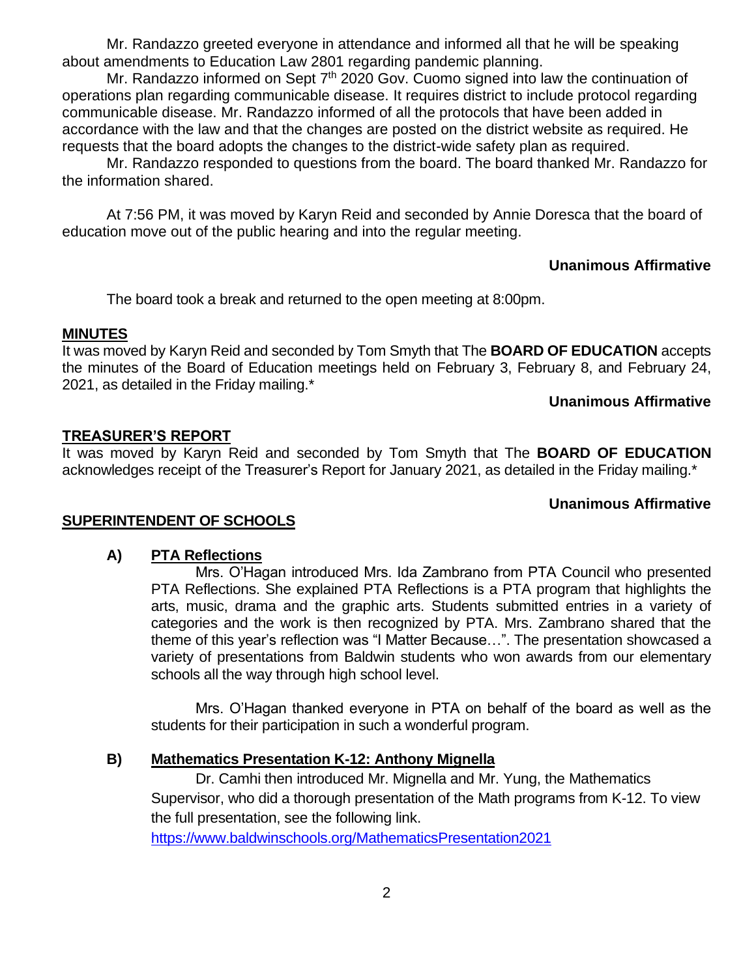Mr. Randazzo greeted everyone in attendance and informed all that he will be speaking about amendments to Education Law 2801 regarding pandemic planning.

Mr. Randazzo informed on Sept  $7<sup>th</sup>$  2020 Gov. Cuomo signed into law the continuation of operations plan regarding communicable disease. It requires district to include protocol regarding communicable disease. Mr. Randazzo informed of all the protocols that have been added in accordance with the law and that the changes are posted on the district website as required. He requests that the board adopts the changes to the district-wide safety plan as required.

Mr. Randazzo responded to questions from the board. The board thanked Mr. Randazzo for the information shared.

At 7:56 PM, it was moved by Karyn Reid and seconded by Annie Doresca that the board of education move out of the public hearing and into the regular meeting.

#### **Unanimous Affirmative**

The board took a break and returned to the open meeting at 8:00pm.

#### **MINUTES**

It was moved by Karyn Reid and seconded by Tom Smyth that The **BOARD OF EDUCATION** accepts the minutes of the Board of Education meetings held on February 3, February 8, and February 24, 2021, as detailed in the Friday mailing.\*

#### **Unanimous Affirmative**

#### **TREASURER'S REPORT**

It was moved by Karyn Reid and seconded by Tom Smyth that The **BOARD OF EDUCATION** acknowledges receipt of the Treasurer's Report for January 2021, as detailed in the Friday mailing.\*

### **Unanimous Affirmative**

#### **SUPERINTENDENT OF SCHOOLS**

#### **A) PTA Reflections**

Mrs. O'Hagan introduced Mrs. Ida Zambrano from PTA Council who presented PTA Reflections. She explained PTA Reflections is a PTA program that highlights the arts, music, drama and the graphic arts. Students submitted entries in a variety of categories and the work is then recognized by PTA. Mrs. Zambrano shared that the theme of this year's reflection was "I Matter Because…". The presentation showcased a variety of presentations from Baldwin students who won awards from our elementary schools all the way through high school level.

Mrs. O'Hagan thanked everyone in PTA on behalf of the board as well as the students for their participation in such a wonderful program.

#### **B) Mathematics Presentation K-12: Anthony Mignella**

Dr. Camhi then introduced Mr. Mignella and Mr. Yung, the Mathematics Supervisor, who did a thorough presentation of the Math programs from K-12. To view the full presentation, see the following link.

[https://www.baldwinschools.org/MathematicsPresentation2021](https://www.baldwinschools.org/site/default.aspx?PageType=3&ModuleInstanceID=10997&ViewID=7b97f7ed-8e5e-4120-848f-a8b4987d588f&RenderLoc=0&FlexDataID=26304&PageID=5651)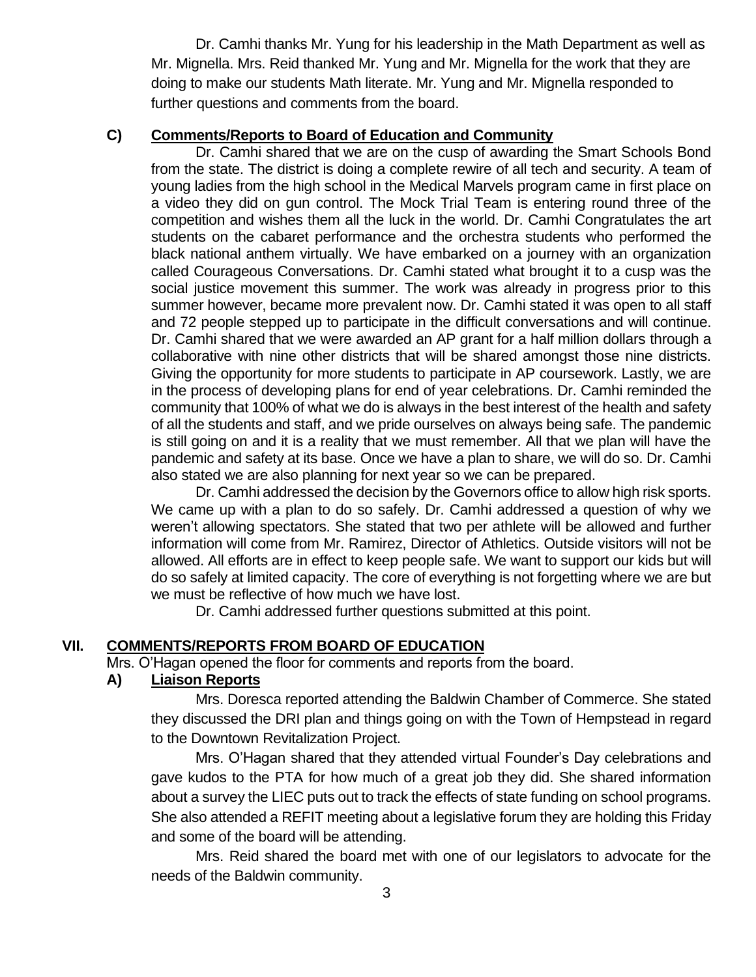Dr. Camhi thanks Mr. Yung for his leadership in the Math Department as well as Mr. Mignella. Mrs. Reid thanked Mr. Yung and Mr. Mignella for the work that they are doing to make our students Math literate. Mr. Yung and Mr. Mignella responded to further questions and comments from the board.

#### **C) Comments/Reports to Board of Education and Community**

Dr. Camhi shared that we are on the cusp of awarding the Smart Schools Bond from the state. The district is doing a complete rewire of all tech and security. A team of young ladies from the high school in the Medical Marvels program came in first place on a video they did on gun control. The Mock Trial Team is entering round three of the competition and wishes them all the luck in the world. Dr. Camhi Congratulates the art students on the cabaret performance and the orchestra students who performed the black national anthem virtually. We have embarked on a journey with an organization called Courageous Conversations. Dr. Camhi stated what brought it to a cusp was the social justice movement this summer. The work was already in progress prior to this summer however, became more prevalent now. Dr. Camhi stated it was open to all staff and 72 people stepped up to participate in the difficult conversations and will continue. Dr. Camhi shared that we were awarded an AP grant for a half million dollars through a collaborative with nine other districts that will be shared amongst those nine districts. Giving the opportunity for more students to participate in AP coursework. Lastly, we are in the process of developing plans for end of year celebrations. Dr. Camhi reminded the community that 100% of what we do is always in the best interest of the health and safety of all the students and staff, and we pride ourselves on always being safe. The pandemic is still going on and it is a reality that we must remember. All that we plan will have the pandemic and safety at its base. Once we have a plan to share, we will do so. Dr. Camhi also stated we are also planning for next year so we can be prepared.

Dr. Camhi addressed the decision by the Governors office to allow high risk sports. We came up with a plan to do so safely. Dr. Camhi addressed a question of why we weren't allowing spectators. She stated that two per athlete will be allowed and further information will come from Mr. Ramirez, Director of Athletics. Outside visitors will not be allowed. All efforts are in effect to keep people safe. We want to support our kids but will do so safely at limited capacity. The core of everything is not forgetting where we are but we must be reflective of how much we have lost.

Dr. Camhi addressed further questions submitted at this point.

### **VII. COMMENTS/REPORTS FROM BOARD OF EDUCATION**

Mrs. O'Hagan opened the floor for comments and reports from the board.

### **A) Liaison Reports**

Mrs. Doresca reported attending the Baldwin Chamber of Commerce. She stated they discussed the DRI plan and things going on with the Town of Hempstead in regard to the Downtown Revitalization Project.

Mrs. O'Hagan shared that they attended virtual Founder's Day celebrations and gave kudos to the PTA for how much of a great job they did. She shared information about a survey the LIEC puts out to track the effects of state funding on school programs. She also attended a REFIT meeting about a legislative forum they are holding this Friday and some of the board will be attending.

Mrs. Reid shared the board met with one of our legislators to advocate for the needs of the Baldwin community.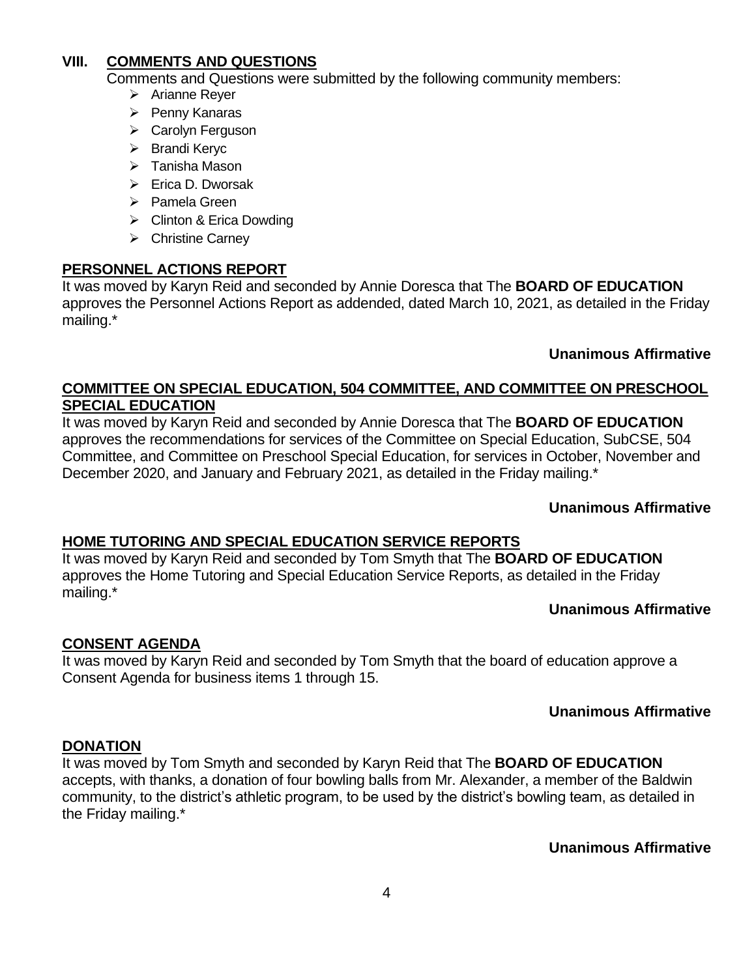### **VIII. COMMENTS AND QUESTIONS**

Comments and Questions were submitted by the following community members:

- ➢ Arianne Reyer
- ➢ Penny Kanaras
- ➢ Carolyn Ferguson
- ➢ Brandi Keryc
- ➢ Tanisha Mason
- ➢ Erica D. Dworsak
- ➢ Pamela Green
- ➢ Clinton & Erica Dowding
- ➢ Christine Carney

### **PERSONNEL ACTIONS REPORT**

It was moved by Karyn Reid and seconded by Annie Doresca that The **BOARD OF EDUCATION**  approves the Personnel Actions Report as addended, dated March 10, 2021, as detailed in the Friday mailing.\*

### **Unanimous Affirmative**

## **COMMITTEE ON SPECIAL EDUCATION, 504 COMMITTEE, AND COMMITTEE ON PRESCHOOL SPECIAL EDUCATION**

It was moved by Karyn Reid and seconded by Annie Doresca that The **BOARD OF EDUCATION** approves the recommendations for services of the Committee on Special Education, SubCSE, 504 Committee, and Committee on Preschool Special Education, for services in October, November and December 2020, and January and February 2021, as detailed in the Friday mailing.\*

### **Unanimous Affirmative**

### **HOME TUTORING AND SPECIAL EDUCATION SERVICE REPORTS**

It was moved by Karyn Reid and seconded by Tom Smyth that The **BOARD OF EDUCATION** approves the Home Tutoring and Special Education Service Reports, as detailed in the Friday mailing.\*

### **Unanimous Affirmative**

# **CONSENT AGENDA**

It was moved by Karyn Reid and seconded by Tom Smyth that the board of education approve a Consent Agenda for business items 1 through 15.

### **Unanimous Affirmative**

#### **DONATION**

It was moved by Tom Smyth and seconded by Karyn Reid that The **BOARD OF EDUCATION** accepts, with thanks, a donation of four bowling balls from Mr. Alexander, a member of the Baldwin community, to the district's athletic program, to be used by the district's bowling team, as detailed in the Friday mailing.\*

### **Unanimous Affirmative**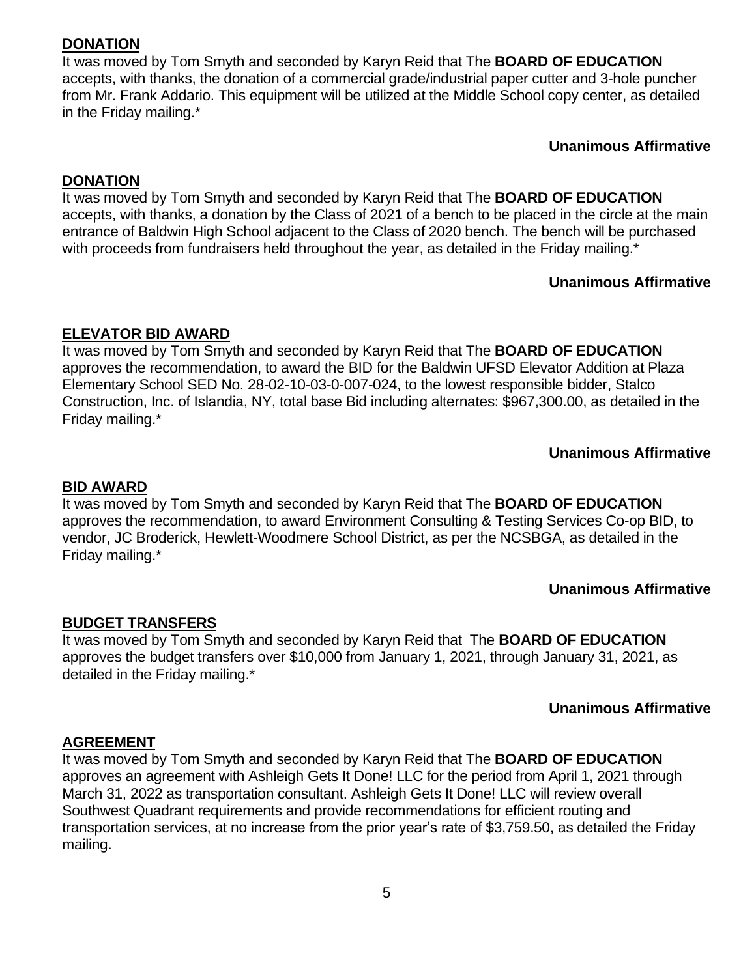### **DONATION**

It was moved by Tom Smyth and seconded by Karyn Reid that The **BOARD OF EDUCATION** accepts, with thanks, the donation of a commercial grade/industrial paper cutter and 3-hole puncher from Mr. Frank Addario. This equipment will be utilized at the Middle School copy center, as detailed in the Friday mailing.\*

**Unanimous Affirmative**

#### **DONATION**

It was moved by Tom Smyth and seconded by Karyn Reid that The **BOARD OF EDUCATION** accepts, with thanks, a donation by the Class of 2021 of a bench to be placed in the circle at the main entrance of Baldwin High School adjacent to the Class of 2020 bench. The bench will be purchased with proceeds from fundraisers held throughout the year, as detailed in the Friday mailing.\*

## **Unanimous Affirmative**

### **ELEVATOR BID AWARD**

It was moved by Tom Smyth and seconded by Karyn Reid that The **BOARD OF EDUCATION**  approves the recommendation, to award the BID for the Baldwin UFSD Elevator Addition at Plaza Elementary School SED No. 28-02-10-03-0-007-024, to the lowest responsible bidder, Stalco Construction, Inc. of Islandia, NY, total base Bid including alternates: \$967,300.00, as detailed in the Friday mailing.\*

## **Unanimous Affirmative**

#### **BID AWARD**

It was moved by Tom Smyth and seconded by Karyn Reid that The **BOARD OF EDUCATION**  approves the recommendation, to award Environment Consulting & Testing Services Co-op BID, to vendor, JC Broderick, Hewlett-Woodmere School District, as per the NCSBGA, as detailed in the Friday mailing.\*

### **Unanimous Affirmative**

### **BUDGET TRANSFERS**

It was moved by Tom Smyth and seconded by Karyn Reid that The **BOARD OF EDUCATION**  approves the budget transfers over \$10,000 from January 1, 2021, through January 31, 2021, as detailed in the Friday mailing.\*

### **Unanimous Affirmative**

### **AGREEMENT**

It was moved by Tom Smyth and seconded by Karyn Reid that The **BOARD OF EDUCATION** approves an agreement with Ashleigh Gets It Done! LLC for the period from April 1, 2021 through March 31, 2022 as transportation consultant. Ashleigh Gets It Done! LLC will review overall Southwest Quadrant requirements and provide recommendations for efficient routing and transportation services, at no increase from the prior year's rate of \$3,759.50, as detailed the Friday mailing.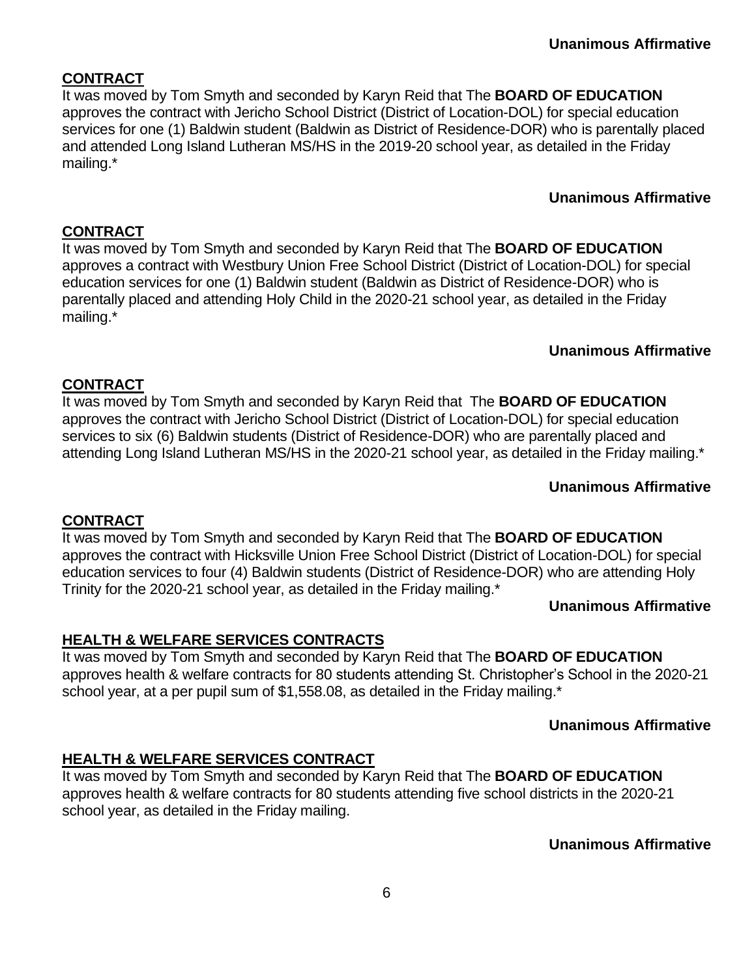# **CONTRACT**

It was moved by Tom Smyth and seconded by Karyn Reid that The **BOARD OF EDUCATION** approves the contract with Jericho School District (District of Location-DOL) for special education services for one (1) Baldwin student (Baldwin as District of Residence-DOR) who is parentally placed and attended Long Island Lutheran MS/HS in the 2019-20 school year, as detailed in the Friday mailing.\*

# **Unanimous Affirmative**

# **CONTRACT**

It was moved by Tom Smyth and seconded by Karyn Reid that The **BOARD OF EDUCATION** approves a contract with Westbury Union Free School District (District of Location-DOL) for special education services for one (1) Baldwin student (Baldwin as District of Residence-DOR) who is parentally placed and attending Holy Child in the 2020-21 school year, as detailed in the Friday mailing.\*

## **Unanimous Affirmative**

# **CONTRACT**

It was moved by Tom Smyth and seconded by Karyn Reid that The **BOARD OF EDUCATION** approves the contract with Jericho School District (District of Location-DOL) for special education services to six (6) Baldwin students (District of Residence-DOR) who are parentally placed and attending Long Island Lutheran MS/HS in the 2020-21 school year, as detailed in the Friday mailing.\*

# **Unanimous Affirmative**

# **CONTRACT**

It was moved by Tom Smyth and seconded by Karyn Reid that The **BOARD OF EDUCATION** approves the contract with Hicksville Union Free School District (District of Location-DOL) for special education services to four (4) Baldwin students (District of Residence-DOR) who are attending Holy Trinity for the 2020-21 school year, as detailed in the Friday mailing.\*

### **Unanimous Affirmative**

# **HEALTH & WELFARE SERVICES CONTRACTS**

It was moved by Tom Smyth and seconded by Karyn Reid that The **BOARD OF EDUCATION** approves health & welfare contracts for 80 students attending St. Christopher's School in the 2020-21 school year, at a per pupil sum of \$1,558.08, as detailed in the Friday mailing.\*

### **Unanimous Affirmative**

# **HEALTH & WELFARE SERVICES CONTRACT**

It was moved by Tom Smyth and seconded by Karyn Reid that The **BOARD OF EDUCATION** approves health & welfare contracts for 80 students attending five school districts in the 2020-21 school year, as detailed in the Friday mailing.

**Unanimous Affirmative**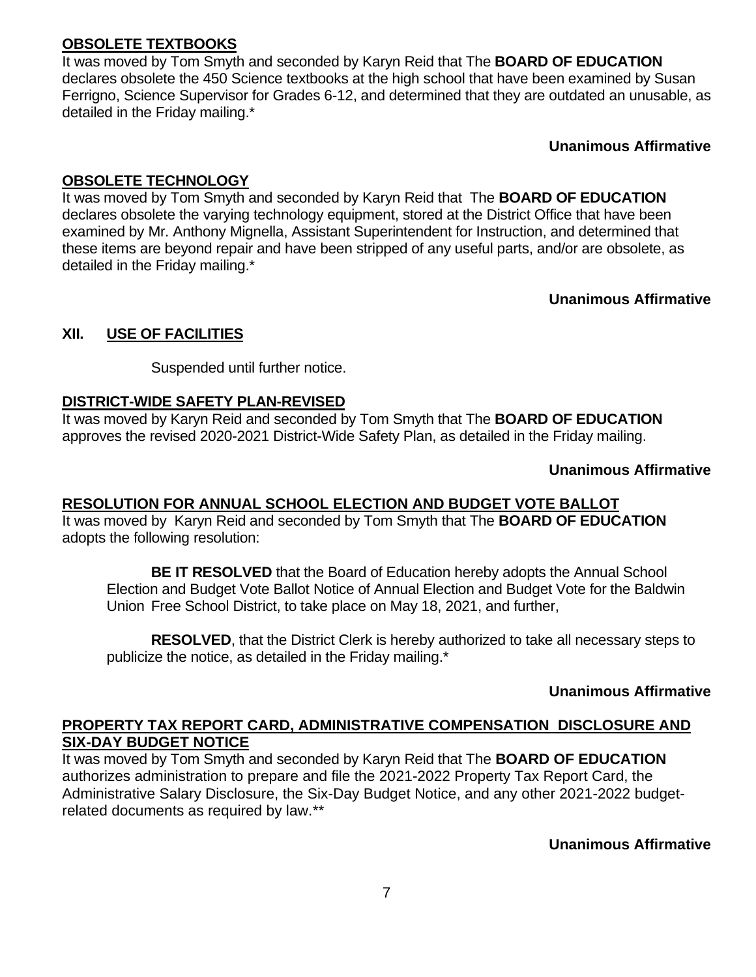# **OBSOLETE TEXTBOOKS**

It was moved by Tom Smyth and seconded by Karyn Reid that The **BOARD OF EDUCATION**  declares obsolete the 450 Science textbooks at the high school that have been examined by Susan Ferrigno, Science Supervisor for Grades 6-12, and determined that they are outdated an unusable, as detailed in the Friday mailing.\*

**Unanimous Affirmative**

### **OBSOLETE TECHNOLOGY**

It was moved by Tom Smyth and seconded by Karyn Reid that The **BOARD OF EDUCATION**  declares obsolete the varying technology equipment, stored at the District Office that have been examined by Mr. Anthony Mignella, Assistant Superintendent for Instruction, and determined that these items are beyond repair and have been stripped of any useful parts, and/or are obsolete, as detailed in the Friday mailing.\*

**Unanimous Affirmative**

## **XII. USE OF FACILITIES**

Suspended until further notice.

### **DISTRICT-WIDE SAFETY PLAN-REVISED**

It was moved by Karyn Reid and seconded by Tom Smyth that The **BOARD OF EDUCATION** approves the revised 2020-2021 District-Wide Safety Plan, as detailed in the Friday mailing.

### **Unanimous Affirmative**

# **RESOLUTION FOR ANNUAL SCHOOL ELECTION AND BUDGET VOTE BALLOT**

It was moved by Karyn Reid and seconded by Tom Smyth that The **BOARD OF EDUCATION**  adopts the following resolution:

**BE IT RESOLVED** that the Board of Education hereby adopts the Annual School Election and Budget Vote Ballot Notice of Annual Election and Budget Vote for the Baldwin Union Free School District, to take place on May 18, 2021, and further,

**RESOLVED**, that the District Clerk is hereby authorized to take all necessary steps to publicize the notice, as detailed in the Friday mailing.\*

### **Unanimous Affirmative**

## **PROPERTY TAX REPORT CARD, ADMINISTRATIVE COMPENSATION DISCLOSURE AND SIX-DAY BUDGET NOTICE**

It was moved by Tom Smyth and seconded by Karyn Reid that The **BOARD OF EDUCATION** authorizes administration to prepare and file the 2021-2022 Property Tax Report Card, the Administrative Salary Disclosure, the Six-Day Budget Notice, and any other 2021-2022 budgetrelated documents as required by law.\*\*

**Unanimous Affirmative**